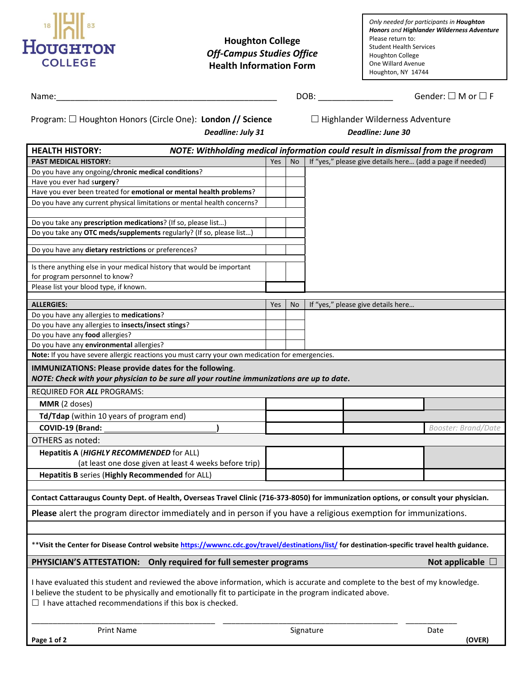## 18 83 HOUGHTON **COLLEGE**

## **Houghton College** *Off-Campus Studies Office* **Health Information Form**

*Only needed for participants in Houghton Honors and Highlander Wilderness Adventure* Please return to: Student Health Services Houghton College One Willard Avenue

|                                                                                                                                                                                                                                                                                                              |     |    |                                                             | Houghton, NY 14744                                                               |
|--------------------------------------------------------------------------------------------------------------------------------------------------------------------------------------------------------------------------------------------------------------------------------------------------------------|-----|----|-------------------------------------------------------------|----------------------------------------------------------------------------------|
| Name:                                                                                                                                                                                                                                                                                                        |     |    | DOB:                                                        | Gender: $\square$ M or $\square$ F                                               |
| Program: □ Houghton Honors (Circle One): London // Science<br>Deadline: July 31                                                                                                                                                                                                                              |     |    | $\Box$ Highlander Wilderness Adventure<br>Deadline: June 30 |                                                                                  |
| <b>HEALTH HISTORY:</b>                                                                                                                                                                                                                                                                                       |     |    |                                                             | NOTE: Withholding medical information could result in dismissal from the program |
| <b>PAST MEDICAL HISTORY:</b>                                                                                                                                                                                                                                                                                 | Yes | No |                                                             | If "yes," please give details here (add a page if needed)                        |
| Do you have any ongoing/chronic medical conditions?                                                                                                                                                                                                                                                          |     |    |                                                             |                                                                                  |
| Have you ever had surgery?                                                                                                                                                                                                                                                                                   |     |    |                                                             |                                                                                  |
| Have you ever been treated for emotional or mental health problems?                                                                                                                                                                                                                                          |     |    |                                                             |                                                                                  |
| Do you have any current physical limitations or mental health concerns?                                                                                                                                                                                                                                      |     |    |                                                             |                                                                                  |
| Do you take any prescription medications? (If so, please list)                                                                                                                                                                                                                                               |     |    |                                                             |                                                                                  |
| Do you take any OTC meds/supplements regularly? (If so, please list)                                                                                                                                                                                                                                         |     |    |                                                             |                                                                                  |
| Do you have any dietary restrictions or preferences?                                                                                                                                                                                                                                                         |     |    |                                                             |                                                                                  |
| Is there anything else in your medical history that would be important                                                                                                                                                                                                                                       |     |    |                                                             |                                                                                  |
| for program personnel to know?                                                                                                                                                                                                                                                                               |     |    |                                                             |                                                                                  |
| Please list your blood type, if known.                                                                                                                                                                                                                                                                       |     |    |                                                             |                                                                                  |
| <b>ALLERGIES:</b>                                                                                                                                                                                                                                                                                            | Yes | No | If "yes," please give details here                          |                                                                                  |
| Do you have any allergies to medications?                                                                                                                                                                                                                                                                    |     |    |                                                             |                                                                                  |
| Do you have any allergies to insects/insect stings?                                                                                                                                                                                                                                                          |     |    |                                                             |                                                                                  |
| Do you have any food allergies?                                                                                                                                                                                                                                                                              |     |    |                                                             |                                                                                  |
| Do you have any environmental allergies?                                                                                                                                                                                                                                                                     |     |    |                                                             |                                                                                  |
| Note: If you have severe allergic reactions you must carry your own medication for emergencies.                                                                                                                                                                                                              |     |    |                                                             |                                                                                  |
| IMMUNIZATIONS: Please provide dates for the following.<br>NOTE: Check with your physician to be sure all your routine immunizations are up to date.                                                                                                                                                          |     |    |                                                             |                                                                                  |
| REQUIRED FOR ALL PROGRAMS:                                                                                                                                                                                                                                                                                   |     |    |                                                             |                                                                                  |
| MMR (2 doses)                                                                                                                                                                                                                                                                                                |     |    |                                                             |                                                                                  |
| Td/Tdap (within 10 years of program end)                                                                                                                                                                                                                                                                     |     |    |                                                             |                                                                                  |
|                                                                                                                                                                                                                                                                                                              |     |    |                                                             | <b>Booster: Brand/Date</b>                                                       |
| COVID-19 (Brand:                                                                                                                                                                                                                                                                                             |     |    |                                                             |                                                                                  |
| <b>OTHERS</b> as noted:                                                                                                                                                                                                                                                                                      |     |    |                                                             |                                                                                  |
| Hepatitis A (HIGHLY RECOMMENDED for ALL)                                                                                                                                                                                                                                                                     |     |    |                                                             |                                                                                  |
| (at least one dose given at least 4 weeks before trip)                                                                                                                                                                                                                                                       |     |    |                                                             |                                                                                  |
| Hepatitis B series (Highly Recommended for ALL)                                                                                                                                                                                                                                                              |     |    |                                                             |                                                                                  |
| Contact Cattaraugus County Dept. of Health, Overseas Travel Clinic (716-373-8050) for immunization options, or consult your physician.                                                                                                                                                                       |     |    |                                                             |                                                                                  |
| Please alert the program director immediately and in person if you have a religious exemption for immunizations.                                                                                                                                                                                             |     |    |                                                             |                                                                                  |
|                                                                                                                                                                                                                                                                                                              |     |    |                                                             |                                                                                  |
| **Visit the Center for Disease Control website https://wwwnc.cdc.gov/travel/destinations/list/ for destination-specific travel health guidance.                                                                                                                                                              |     |    |                                                             |                                                                                  |
| Only required for full semester programs<br>PHYSICIAN'S ATTESTATION:                                                                                                                                                                                                                                         |     |    |                                                             | Not applicable $\Box$                                                            |
| I have evaluated this student and reviewed the above information, which is accurate and complete to the best of my knowledge.<br>I believe the student to be physically and emotionally fit to participate in the program indicated above.<br>$\Box$ I have attached recommendations if this box is checked. |     |    |                                                             |                                                                                  |
| <b>Print Name</b><br>Page 1 of 2                                                                                                                                                                                                                                                                             |     |    | Signature                                                   | Date<br>(OVER)                                                                   |